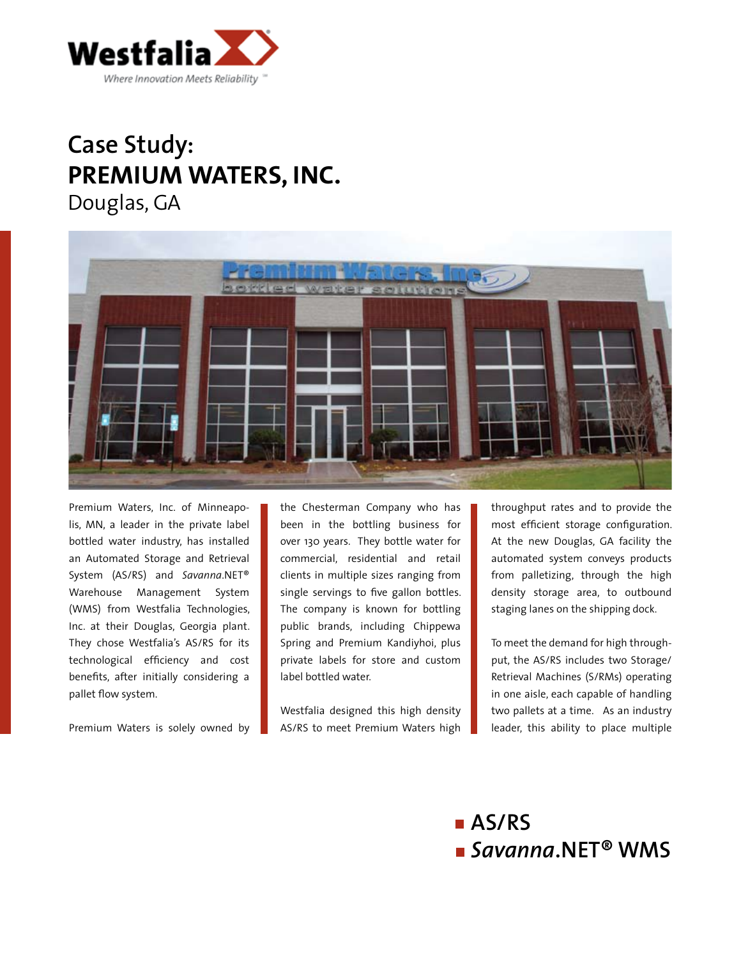

## **Case Study: PREMIUM WATERS, INC.** Douglas, GA



Premium Waters, Inc. of Minneapolis, MN, a leader in the private label bottled water industry, has installed an Automated Storage and Retrieval System (AS/RS) and *Savanna*.NET® Warehouse Management System (WMS) from Westfalia Technologies, Inc. at their Douglas, Georgia plant. They chose Westfalia's AS/RS for its technological efficiency and cost benefits, after initially considering a pallet flow system.

Premium Waters is solely owned by

the Chesterman Company who has been in the bottling business for over 130 years. They bottle water for commercial, residential and retail clients in multiple sizes ranging from single servings to five gallon bottles. The company is known for bottling public brands, including Chippewa Spring and Premium Kandiyhoi, plus private labels for store and custom label bottled water.

Westfalia designed this high density AS/RS to meet Premium Waters high throughput rates and to provide the most efficient storage configuration. At the new Douglas, GA facility the automated system conveys products from palletizing, through the high density storage area, to outbound staging lanes on the shipping dock.

To meet the demand for high throughput, the AS/RS includes two Storage/ Retrieval Machines (S/RMs) operating in one aisle, each capable of handling two pallets at a time. As an industry leader, this ability to place multiple

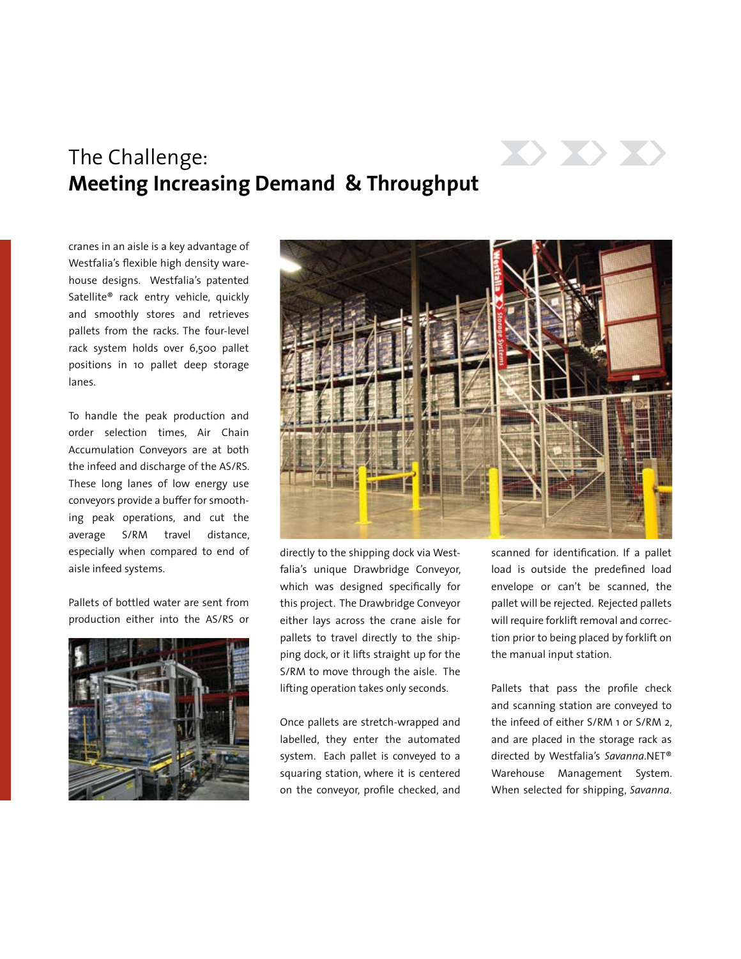

## The Challenge: **Meeting Increasing Demand & Throughput**

cranes in an aisle is a key advantage of Westfalia's flexible high density warehouse designs. Westfalia's patented Satellite® rack entry vehicle, quickly and smoothly stores and retrieves pallets from the racks. The four-level rack system holds over 6,500 pallet positions in 10 pallet deep storage lanes.

To handle the peak production and order selection times, Air Chain Accumulation Conveyors are at both the infeed and discharge of the AS/RS. These long lanes of low energy use conveyors provide a buffer for smoothing peak operations, and cut the average S/RM travel distance, especially when compared to end of aisle infeed systems.

Pallets of bottled water are sent from production either into the AS/RS or





directly to the shipping dock via Westfalia's unique Drawbridge Conveyor, which was designed specifically for this project. The Drawbridge Conveyor either lays across the crane aisle for pallets to travel directly to the shipping dock, or it lifts straight up for the S/RM to move through the aisle. The lifting operation takes only seconds.

Once pallets are stretch-wrapped and labelled, they enter the automated system. Each pallet is conveyed to a squaring station, where it is centered on the conveyor, profile checked, and scanned for identification. If a pallet load is outside the predefined load envelope or can't be scanned, the pallet will be rejected. Rejected pallets will require forklift removal and correction prior to being placed by forklift on the manual input station.

Pallets that pass the profile check and scanning station are conveyed to the infeed of either S/RM 1 or S/RM 2, and are placed in the storage rack as directed by Westfalia's *Savanna*.NET® Warehouse Management System. When selected for shipping, *Savanna*.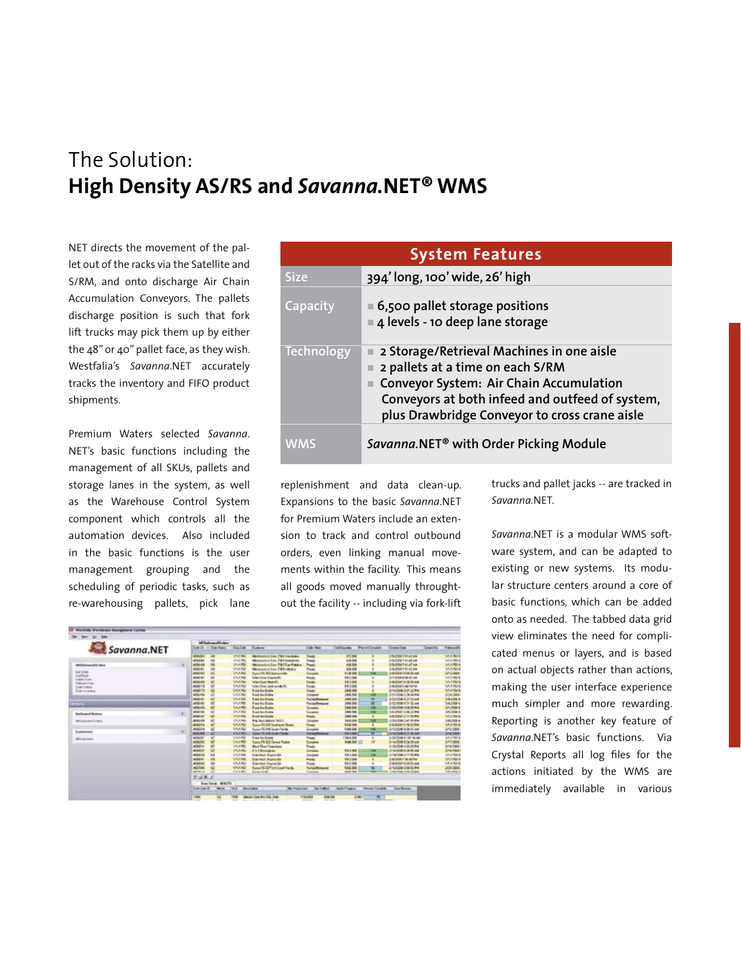## The Solution: **High Density AS/RS and** *Savanna.***NET® WMS**

NET directs the movement of the pallet out of the racks via the Satellite and S/RM, and onto discharge Air Chain Accumulation Conveyors. The pallets discharge position is such that fork lift trucks may pick them up by either the 48" or 40" pallet face, as they wish. Westfalia's *Savanna*.NET accurately tracks the inventory and FIFO product shipments.

Premium Waters selected *Savanna*. NET's basic functions including the management of all SKUs, pallets and storage lanes in the system, as well as the Warehouse Control System component which controls all the automation devices. Also included in the basic functions is the user management grouping and the scheduling of periodic tasks, such as re-warehousing pallets, pick lane

| <b>System Features</b> |                                                                                                                                                                                                                              |  |  |  |  |  |  |  |  |  |
|------------------------|------------------------------------------------------------------------------------------------------------------------------------------------------------------------------------------------------------------------------|--|--|--|--|--|--|--|--|--|
| <b>Size</b>            | 394'long, 100' wide, 26' high                                                                                                                                                                                                |  |  |  |  |  |  |  |  |  |
| Capacity               | $\blacksquare$ 6,500 pallet storage positions<br>4 levels - 10 deep lane storage                                                                                                                                             |  |  |  |  |  |  |  |  |  |
| <b>Technology</b>      | 2 Storage/Retrieval Machines in one aisle<br>2 pallets at a time on each S/RM<br>Conveyor System: Air Chain Accumulation<br>Conveyors at both infeed and outfeed of system,<br>plus Drawbridge Conveyor to cross crane aisle |  |  |  |  |  |  |  |  |  |
| WMS                    | Savanna.NET <sup>®</sup> with Order Picking Module                                                                                                                                                                           |  |  |  |  |  |  |  |  |  |

replenishment and data clean-up. Expansions to the basic *Savanna*.NET for Premium Waters include an extension to track and control outbound orders, even linking manual movements within the facility. This means all goods moved manually throughtout the facility -- including via fork-lift

trucks and pallet jacks -- are tracked in *Savanna.*NET.

*Savanna*.NET is a modular WMS software system, and can be adapted to existing or new systems. Its modular structure centers around a core of basic functions, which can be added onto as needed. The tabbed data grid view eliminates the need for complicated menus or layers, and is based on actual objects rather than actions, making the user interface experience much simpler and more rewarding. Reporting is another key feature of *Savanna*.NET's basic functions. Via Crystal Reports all log files for the actions initiated by the WMS are immediately available in various

| Savanna.NET             |  |                             | Ad Datument College |                       |                                             |                                            |                               |                         |                                    |            |                       |
|-------------------------|--|-----------------------------|---------------------|-----------------------|---------------------------------------------|--------------------------------------------|-------------------------------|-------------------------|------------------------------------|------------|-----------------------|
|                         |  | All Dicker Ricker<br>aan di |                     | Tra Life              | <b>Customer</b>                             | <b>Cally</b> Bake                          | <b>Additionally</b>           | <b>Parad Couper</b>     | <b>Corners Com</b>                 | Desert Va. | <b>Libraril</b>       |
|                         |  | attrick)                    | w                   | <b>Short Ma</b>       | <b>Harmond L. Law File machinery</b>        | <b>Leads</b>                               | <b>ART WW</b>                 |                         | <b>ENVIRONMENT</b>                 |            | SALE MALE             |
|                         |  | armicles.                   | w                   | SOUTH                 | Hismanica is from 7'8 Newsterham            | francia                                    | <b>CA BM</b>                  |                         | <b>Infactories Premate seas</b>    |            | SALERIES              |
| AR Dat Leased Critics   |  | attered a                   | 9h                  | SALFEE                | <b>Notice to the TWIT at Falsty</b>         | <b>Rough</b>                               | of the fame                   |                         | <b>Enforced Port of the</b>        |            | <b>WARREN</b>         |
|                         |  | 4000 MT                     | $^{50}$             | 15,576                | <b>History L.L. Says 700 Walkers</b>        | Transfer                                   | <b>GRIDE</b>                  |                         | <b>ENGINEER PUBLIC AND</b>         |            | <b>VIULINO</b>        |
| Earlbak<br>Antifactor   |  | <b>ALCOHOL:</b>             | w                   | <b>INVENT</b>         | Spiel PL 911 Each arm 24                    | <b><i><u>Gridde</u></i></b>                | 11.00.000                     |                         | <b>CONTRACTOR PARTIES BELIEVED</b> |            | <b>John Architect</b> |
| <b>Galake Design</b>    |  | <b>MING AT</b>              | u                   | U.S.A.Max             | <b>West From Edward Rd</b>                  | <b>Rough</b>                               | 101114                        |                         | <b>CONTRACTOR IN THE ATT AND</b>   |            | <b>UA A Right</b>     |
| Februari (1-46)         |  | <b>ALCOHOL:</b>             | w                   | <b>WARN</b>           | West East Manufi.                           | <b>Rando</b>                               | 15/2104                       |                         | <b><i>UNIONATE RINGAN</i></b>      |            | VALUES?               |
| <b>Colectivens</b>      |  | <b>AFRACTA</b>              | w                   | <b><i>LAXABLE</i></b> | when fixed decline wheels.                  | Fords                                      | <b>VALUE</b>                  |                         | <b>ENGINEEMANTW</b>                |            | <b>MARGE</b>          |
| Drawinians              |  | 49471                       | 福                   | 55,476                | <b>Franklin Entity</b>                      | <b>Fast</b>                                | <b>CAN ALL</b>                |                         | <b>SINATERIAL SOF SSIPHA</b>       |            | <b>MARGE</b>          |
|                         |  | 400144                      | a                   | 55,6262               | <b><i><u>Rock from Electric</u></i></b>     | Constant                                   | <b>Jack Ave</b>               |                         | <b>LEFTAR EXHAUST</b>              |            | 204/2008              |
|                         |  | <b>ALCOHOL:</b>             |                     | <b>IAM</b>            | <b>Roads for Farmer</b>                     | <b><i><u>Reducial Americans</u></i></b>    | 1910 318                      | w                       | ALCOHOL: NORTHERN                  |            | <b>VAINT</b>          |
| <b>Carsum</b>           |  | 400/43                      | u                   | <b>UALK PED</b>       | <b>Rack Inc.Dates</b>                       | <b>Paradolphased</b>                       | <b>ING OFF</b>                | ×                       | DISTURBANCE REPAIR                 |            | 3/6/2000              |
|                         |  | attrives.                   | <b>R</b>            | <b>SALATE</b>         | <b><i><u>Rand And Caldie</u></i></b>        | <b>Donation</b>                            | <b>INVESTIG</b>               | m                       | <b>SUBJECT OF A DE THEFTA</b>      |            | 3/1/2000              |
| <b>Radiomeditestors</b> |  | <b>ALBERTAS</b>             | u                   | <b>SALAR</b>          | <b>Fred Inches</b>                          | <b>Greaters</b>                            | 1998 918                      | m                       | 24/2011 128:2794                   |            | SAUDER-               |
|                         |  | <b>ALCOHOL</b>              | <b>kd</b>           | <b>SALENE</b>         | <b>Rock building</b>                        | <b>Rought</b>                              | 1994 918                      | ×                       | <b>SACCERTIFICATE</b>              |            | SAARIE                |
| <b>HORACOR</b>          |  | <b>MISSION</b>              | w                   | TATA PAR              | First Boyd Alloway 1417.3                   | Drivers                                    | <b>DEATH</b>                  | ÷                       | <b>STROOM DATIONS</b>              |            | 340084                |
|                         |  | <b>ADICTA</b>               | e                   | 100.00                | Sanita PR STOT Tending of Fillman           | Reide                                      | 153,33                        | ٠                       | ENDIRETY NO PM                     |            | <b>MARGIN</b>         |
|                         |  | <b>MONDY</b>                | 世                   | 1/1/92                | San Fill I'll Suit-Facts                    | Governor                                   | 138,88                        | w                       | <b>EYES SORE KIDS 47 AND</b>       |            | 1/12000               |
| Elektristian            |  | <b>JESULTS</b>              | w                   | <b>SYLVAN</b>         | <b><i>Name IV&amp; R R Toyoth Farms</i></b> | <b><i><u>Paralahement</u></i></b>          | 1812318                       |                         | <b><i>UNDERLY KAN</i></b>          |            | 206/2008              |
| Althenael               |  | <b>AUSTER</b>               | v                   | SAVING                | <b>Fact burdwide</b>                        | Trenda                                     | 11004199                      |                         | <b>INVESTIGATI</b>                 |            | SAKRO                 |
|                         |  | armides.                    | w                   | 1/1/1700              | <b>Racin PS 972 Server Posts</b>            | <b>Consider</b>                            | 1146 978                      |                         | <b>STANDARD &amp; TO AND</b>       |            | <b>SARAW</b>          |
|                         |  | attenda                     | se                  | <b>INVERT</b>         | Mark First Eventure                         | Projector                                  |                               |                         | Emilyfringi auto to the            |            | <b>D14/3006</b>       |
|                         |  | <b>ALIGNATIVE</b>           | u                   | <b>SALAW</b>          | <b>FASSING</b>                              | <b>Constraint</b>                          | 1511916                       | m                       | <b>DISANDED EXPIRES</b>            |            | <b>SPA/ALB</b>        |
|                         |  | <b>STARTING</b>             | m                   | <b>INVARIA</b>        | <b>Eached Investor</b>                      | <b>Grasbas</b>                             | 151,000                       |                         | produce birthings                  |            | <b>USA RM</b>         |
|                         |  | <b>MINUTE</b>               | <b>SH</b>           | <b>INVARIA</b>        | <b>Eigenhalt Strung Ad</b>                  | <b>Wande</b>                               | <b>ENGINE</b>                 |                         | <b>CONSTRUCTS IN AN INC.</b>       |            | <b>GALICIAN</b>       |
|                         |  | <b>ABIA!</b>                | m                   | <b>IAARU</b>          | <b>Gas Med Shore Ga.</b>                    | <b>Fando</b>                               | 101238                        |                         | DOMESTIC RATE AND                  |            | UR.R203               |
|                         |  | <b>ALLTAS</b>               | E                   | <b>LAULAU</b>         | <b>Nation F&amp; SUP when Coast Florida</b> | <b><i><u><u>Return Between</u></u></i></b> | <b><i><u>REG. Aut</u></i></b> |                         | <b><i>LINANSKI DOG EXTRA</i></b>   |            | 2/25/2008             |
|                         |  | <b>ALENULU'S</b>            | $-1$                | LA a feri             | <b>Barnet Toyota</b>                        | <b>Constitute</b>                          | sania rana                    | ÷                       | to be follows for the blood        |            | <b>Liturance</b>      |
|                         |  | 活动制止                        |                     |                       |                                             |                                            |                               |                         |                                    |            |                       |
|                         |  | they bend. WHO'll           |                     |                       |                                             |                                            |                               |                         |                                    |            |                       |
|                         |  | Simple Law (E)              | <b>Barnet</b>       | <b>MIA</b>            | <b>Mr. Trademand</b><br><b>Technike</b>     | <b>Site For All and</b>                    | <b>Started Property</b>       | <b>Florida Carriero</b> | <b>Line Renewal</b>                |            |                       |
|                         |  | <b>UBU</b>                  |                     | 18.91                 | Maner Law Bis Life, Joan                    | <b>BATK</b><br><b>TEDOS</b>                |                               | <b>Las</b>              |                                    |            |                       |